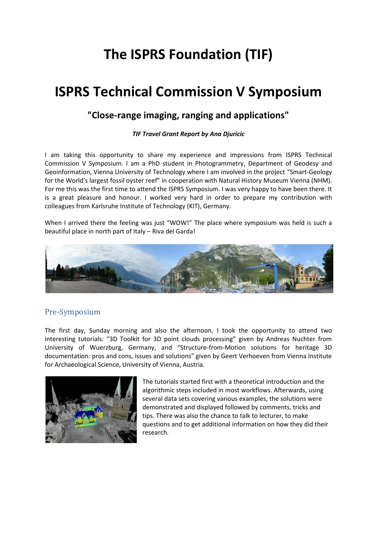# **The ISPRS Foundation (TIF)**

## **ISPRS Technical Commission V Symposium**

## **"Close-range imaging, ranging and applications"**

#### *TIF Travel Grant Report by Ana Djuricic*

I am taking this opportunity to share my experience and impressions from ISPRS Technical Commission V Symposium. I am a PhD student in Photogrammetry, Department of Geodesy and Geoinformation, Vienna University of Technology where I am involved in the project "Smart-Geology for the World's largest fossil oyster reef" in cooperation with Natural History Museum Vienna (NHM). For me this was the first time to attend the ISPRS Symposium. I was very happy to have been there. It is a great pleasure and honour. I worked very hard in order to prepare my contribution with colleagues from Karlsruhe Institute of Technology (KIT), Germany.

When I arrived there the feeling was just "WOW!" The place where symposium was held is such a beautiful place in north part of Italy – Riva del Garda!



### Pre-Symposium

The first day, Sunday morning and also the afternoon, I took the opportunity to attend two interesting tutorials: "3D Toolkit for 3D point clouds processing" given by Andreas Nuchter from University of Wuerzburg, Germany, and "Structure-from-Motion solutions for heritage 3D documentation: pros and cons, issues and solutions" given by Geert Verhoeven from Vienna Institute for Archaeological Science, University of Vienna, Austria.



The tutorials started first with a theoretical introduction and the algorithmic steps included in most workflows. Afterwards, using several data sets covering various examples, the solutions were demonstrated and displayed followed by comments, tricks and tips. There was also the chance to talk to lecturer, to make questions and to get additional information on how they did their research.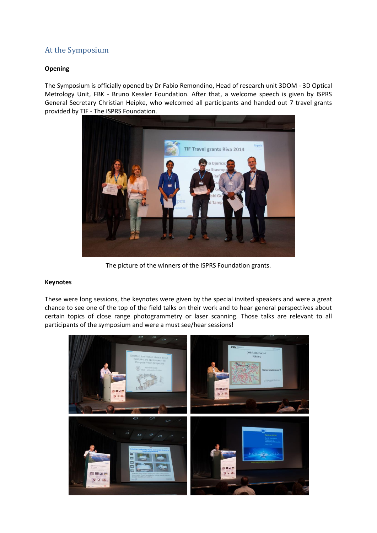### At the Symposium

#### **Opening**

The Symposium is officially opened by Dr Fabio Remondino, Head of research unit 3DOM - 3D Optical Metrology Unit, FBK - Bruno Kessler Foundation. After that, a welcome speech is given by ISPRS General Secretary Christian Heipke, who welcomed all participants and handed out 7 travel grants provided by TIF - The ISPRS Foundation.



The picture of the winners of the ISPRS Foundation grants.

#### **Keynotes**

These were long sessions, the keynotes were given by the special invited speakers and were a great chance to see one of the top of the field talks on their work and to hear general perspectives about certain topics of close range photogrammetry or laser scanning. Those talks are relevant to all participants of the symposium and were a must see/hear sessions!

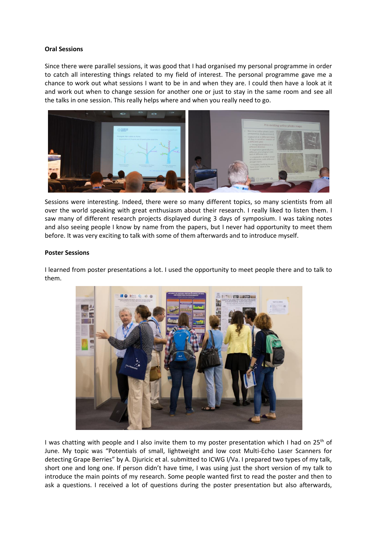#### **Oral Sessions**

Since there were parallel sessions, it was good that I had organised my personal programme in order to catch all interesting things related to my field of interest. The personal programme gave me a chance to work out what sessions I want to be in and when they are. I could then have a look at it and work out when to change session for another one or just to stay in the same room and see all the talks in one session. This really helps where and when you really need to go.



Sessions were interesting. Indeed, there were so many different topics, so many scientists from all over the world speaking with great enthusiasm about their research. I really liked to listen them. I saw many of different research projects displayed during 3 days of symposium. I was taking notes and also seeing people I know by name from the papers, but I never had opportunity to meet them before. It was very exciting to talk with some of them afterwards and to introduce myself.

#### **Poster Sessions**

I learned from poster presentations a lot. I used the opportunity to meet people there and to talk to them.



I was chatting with people and I also invite them to my poster presentation which I had on  $25<sup>th</sup>$  of June. My topic was "Potentials of small, lightweight and low cost Multi-Echo Laser Scanners for detecting Grape Berries" by A. Djuricic et al. submitted to ICWG I/Va. I prepared two types of my talk, short one and long one. If person didn't have time, I was using just the short version of my talk to introduce the main points of my research. Some people wanted first to read the poster and then to ask a questions. I received a lot of questions during the poster presentation but also afterwards,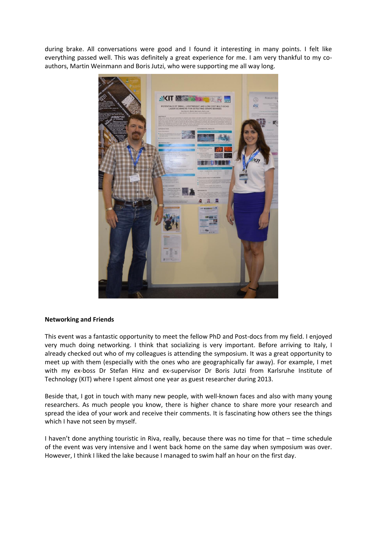during brake. All conversations were good and I found it interesting in many points. I felt like everything passed well. This was definitely a great experience for me. I am very thankful to my coauthors, Martin Weinmann and Boris Jutzi, who were supporting me all way long.



#### **Networking and Friends**

This event was a fantastic opportunity to meet the fellow PhD and Post-docs from my field. I enjoyed very much doing networking. I think that socializing is very important. Before arriving to Italy, I already checked out who of my colleagues is attending the symposium. It was a great opportunity to meet up with them (especially with the ones who are geographically far away). For example, I met with my ex-boss Dr Stefan Hinz and ex-supervisor Dr Boris Jutzi from Karlsruhe Institute of Technology (KIT) where I spent almost one year as guest researcher during 2013.

Beside that, I got in touch with many new people, with well-known faces and also with many young researchers. As much people you know, there is higher chance to share more your research and spread the idea of your work and receive their comments. It is fascinating how others see the things which I have not seen by myself.

I haven't done anything touristic in Riva, really, because there was no time for that – time schedule of the event was very intensive and I went back home on the same day when symposium was over. However, I think I liked the lake because I managed to swim half an hour on the first day.